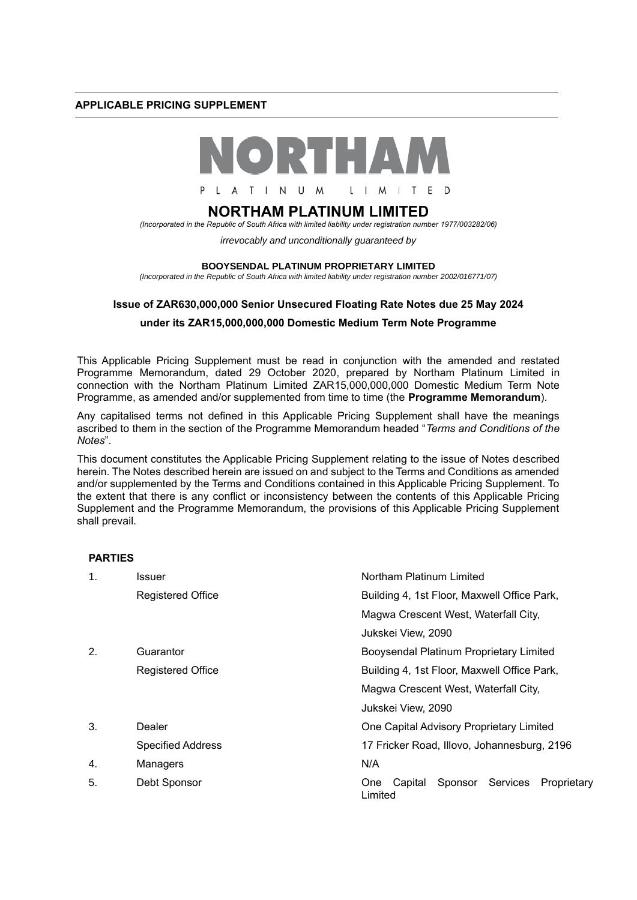### **APPLICABLE PRICING SUPPLEMENT**



# **NORTHAM PLATINUM LIMITED**

*(Incorporated in the Republic of South Africa with limited liability under registration number 1977/003282/06)*

*irrevocably and unconditionally guaranteed by* 

#### **BOOYSENDAL PLATINUM PROPRIETARY LIMITED**

*(Incorporated in the Republic of South Africa with limited liability under registration number 2002/016771/07)*

### **Issue of ZAR630,000,000 Senior Unsecured Floating Rate Notes due 25 May 2024**

## **under its ZAR15,000,000,000 Domestic Medium Term Note Programme**

This Applicable Pricing Supplement must be read in conjunction with the amended and restated Programme Memorandum, dated 29 October 2020, prepared by Northam Platinum Limited in connection with the Northam Platinum Limited ZAR15,000,000,000 Domestic Medium Term Note Programme, as amended and/or supplemented from time to time (the **Programme Memorandum**).

Any capitalised terms not defined in this Applicable Pricing Supplement shall have the meanings ascribed to them in the section of the Programme Memorandum headed "*Terms and Conditions of the Notes*".

This document constitutes the Applicable Pricing Supplement relating to the issue of Notes described herein. The Notes described herein are issued on and subject to the Terms and Conditions as amended and/or supplemented by the Terms and Conditions contained in this Applicable Pricing Supplement. To the extent that there is any conflict or inconsistency between the contents of this Applicable Pricing Supplement and the Programme Memorandum, the provisions of this Applicable Pricing Supplement shall prevail.

### **PARTIES**

| $\mathbf 1$ . | Issuer                   | Northam Platinum Limited                                               |
|---------------|--------------------------|------------------------------------------------------------------------|
|               | <b>Registered Office</b> | Building 4, 1st Floor, Maxwell Office Park,                            |
|               |                          | Magwa Crescent West, Waterfall City,                                   |
|               |                          | Jukskei View, 2090                                                     |
| 2.            | Guarantor                | Booysendal Platinum Proprietary Limited                                |
|               | <b>Registered Office</b> | Building 4, 1st Floor, Maxwell Office Park,                            |
|               |                          | Magwa Crescent West, Waterfall City,                                   |
|               |                          | Jukskei View, 2090                                                     |
| 3.            | Dealer                   | One Capital Advisory Proprietary Limited                               |
|               | <b>Specified Address</b> | 17 Fricker Road, Illovo, Johannesburg, 2196                            |
| 4.            | Managers                 | N/A                                                                    |
| 5.            | Debt Sponsor             | Services<br>Sponsor<br>Capital<br>Proprietary<br><b>One</b><br>Limited |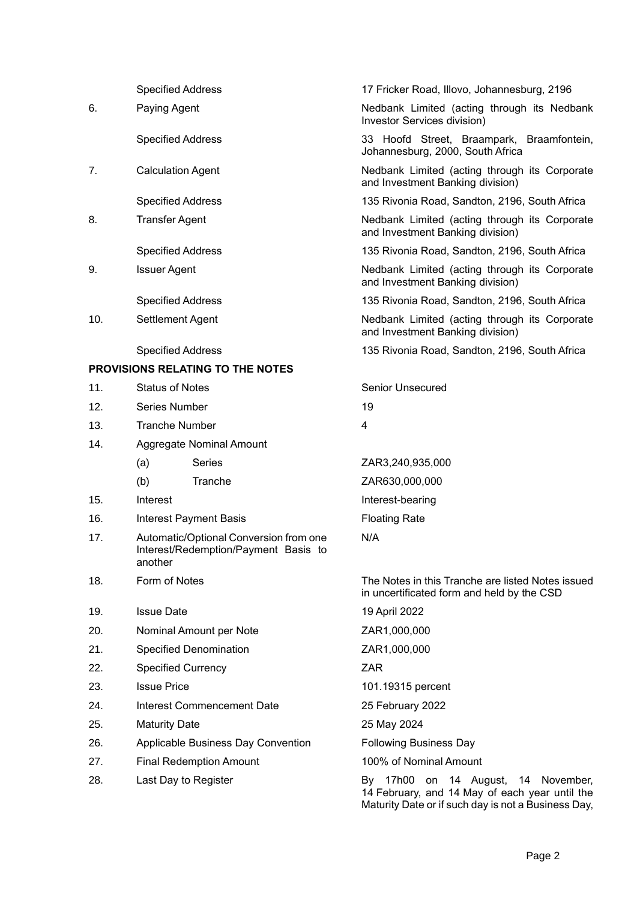|     | <b>Specified Address</b>                                                                  |                               | 17 Fricker Road, Illovo, Johannesburg, 2196                                                                                                  |  |  |  |
|-----|-------------------------------------------------------------------------------------------|-------------------------------|----------------------------------------------------------------------------------------------------------------------------------------------|--|--|--|
| 6.  | Paying Agent                                                                              |                               | Nedbank Limited (acting through its Nedbank                                                                                                  |  |  |  |
|     |                                                                                           |                               | Investor Services division)                                                                                                                  |  |  |  |
|     | <b>Specified Address</b>                                                                  |                               | 33 Hoofd Street, Braampark, Braamfontein,<br>Johannesburg, 2000, South Africa                                                                |  |  |  |
| 7.  | <b>Calculation Agent</b>                                                                  |                               | Nedbank Limited (acting through its Corporate<br>and Investment Banking division)                                                            |  |  |  |
|     | <b>Specified Address</b>                                                                  |                               | 135 Rivonia Road, Sandton, 2196, South Africa                                                                                                |  |  |  |
| 8.  | <b>Transfer Agent</b>                                                                     |                               | Nedbank Limited (acting through its Corporate<br>and Investment Banking division)                                                            |  |  |  |
|     | <b>Specified Address</b>                                                                  |                               | 135 Rivonia Road, Sandton, 2196, South Africa                                                                                                |  |  |  |
| 9.  | <b>Issuer Agent</b>                                                                       |                               | Nedbank Limited (acting through its Corporate<br>and Investment Banking division)                                                            |  |  |  |
|     | <b>Specified Address</b>                                                                  |                               | 135 Rivonia Road, Sandton, 2196, South Africa                                                                                                |  |  |  |
| 10. | Settlement Agent                                                                          |                               | Nedbank Limited (acting through its Corporate<br>and Investment Banking division)                                                            |  |  |  |
|     | <b>Specified Address</b>                                                                  |                               | 135 Rivonia Road, Sandton, 2196, South Africa                                                                                                |  |  |  |
|     | <b>PROVISIONS RELATING TO THE NOTES</b>                                                   |                               |                                                                                                                                              |  |  |  |
| 11. | <b>Status of Notes</b>                                                                    |                               | <b>Senior Unsecured</b>                                                                                                                      |  |  |  |
| 12. | Series Number                                                                             |                               | 19                                                                                                                                           |  |  |  |
| 13. | <b>Tranche Number</b>                                                                     |                               | 4                                                                                                                                            |  |  |  |
| 14. |                                                                                           | Aggregate Nominal Amount      |                                                                                                                                              |  |  |  |
|     | (a)                                                                                       | Series                        | ZAR3,240,935,000                                                                                                                             |  |  |  |
|     | (b)                                                                                       | Tranche                       | ZAR630,000,000                                                                                                                               |  |  |  |
| 15. | Interest                                                                                  |                               | Interest-bearing                                                                                                                             |  |  |  |
| 16. |                                                                                           | <b>Interest Payment Basis</b> | <b>Floating Rate</b>                                                                                                                         |  |  |  |
| 17. | Automatic/Optional Conversion from one<br>Interest/Redemption/Payment Basis to<br>another |                               | N/A                                                                                                                                          |  |  |  |
| 18. | Form of Notes                                                                             |                               | The Notes in this Tranche are listed Notes issued<br>in uncertificated form and held by the CSD                                              |  |  |  |
| 19. | <b>Issue Date</b>                                                                         |                               | 19 April 2022                                                                                                                                |  |  |  |
| 20. | Nominal Amount per Note                                                                   |                               | ZAR1,000,000                                                                                                                                 |  |  |  |
| 21. | Specified Denomination                                                                    |                               | ZAR1,000,000                                                                                                                                 |  |  |  |
| 22. | <b>Specified Currency</b>                                                                 |                               | <b>ZAR</b>                                                                                                                                   |  |  |  |
| 23. | <b>Issue Price</b>                                                                        |                               | 101.19315 percent                                                                                                                            |  |  |  |
| 24. | <b>Interest Commencement Date</b>                                                         |                               | 25 February 2022                                                                                                                             |  |  |  |
| 25. | <b>Maturity Date</b>                                                                      |                               | 25 May 2024                                                                                                                                  |  |  |  |
| 26. | Applicable Business Day Convention                                                        |                               | <b>Following Business Day</b>                                                                                                                |  |  |  |
| 27. | <b>Final Redemption Amount</b>                                                            |                               | 100% of Nominal Amount                                                                                                                       |  |  |  |
| 28. | Last Day to Register                                                                      |                               | By 17h00 on 14 August, 14 November,<br>14 February, and 14 May of each year until the<br>Maturity Date or if such day is not a Business Day, |  |  |  |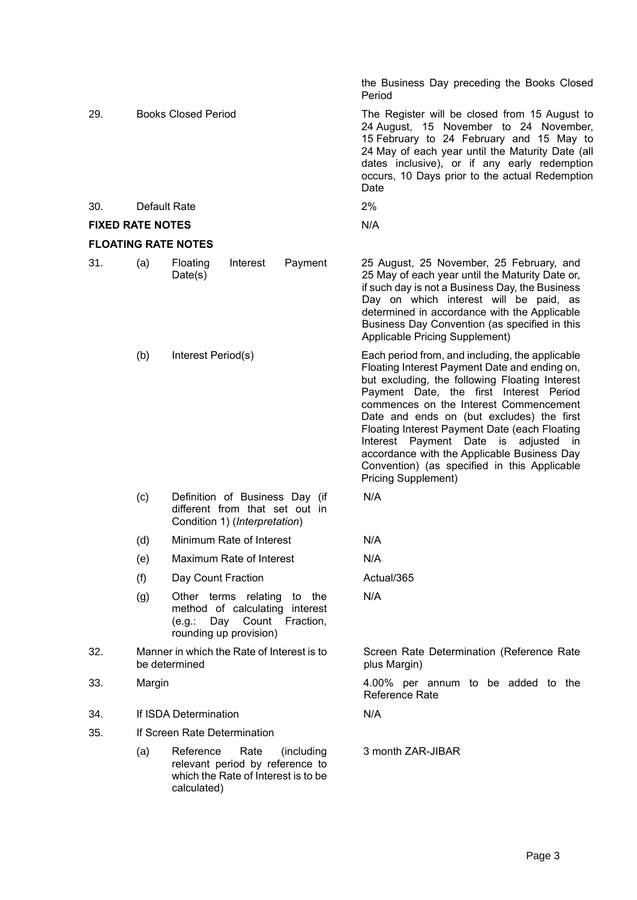|                         |                                                             |                                                                                                                          | the Business Day preceding the Books Closed<br>Period                                                                                                                                                                                                                                                                                                                                                                                                                                                            |
|-------------------------|-------------------------------------------------------------|--------------------------------------------------------------------------------------------------------------------------|------------------------------------------------------------------------------------------------------------------------------------------------------------------------------------------------------------------------------------------------------------------------------------------------------------------------------------------------------------------------------------------------------------------------------------------------------------------------------------------------------------------|
| 29.                     |                                                             | <b>Books Closed Period</b>                                                                                               | The Register will be closed from 15 August to<br>24 August, 15 November to 24 November,<br>15 February to 24 February and 15 May to<br>24 May of each year until the Maturity Date (all<br>dates inclusive), or if any early redemption<br>occurs, 10 Days prior to the actual Redemption<br>Date                                                                                                                                                                                                                |
| 30.                     |                                                             | Default Rate                                                                                                             | 2%                                                                                                                                                                                                                                                                                                                                                                                                                                                                                                               |
| <b>FIXED RATE NOTES</b> |                                                             |                                                                                                                          | N/A                                                                                                                                                                                                                                                                                                                                                                                                                                                                                                              |
|                         |                                                             | <b>FLOATING RATE NOTES</b>                                                                                               |                                                                                                                                                                                                                                                                                                                                                                                                                                                                                                                  |
| 31.                     | (a)                                                         | Payment<br>Interest<br>Floating<br>Date(s)                                                                               | 25 August, 25 November, 25 February, and<br>25 May of each year until the Maturity Date or,<br>if such day is not a Business Day, the Business<br>Day on which interest will be paid, as<br>determined in accordance with the Applicable<br>Business Day Convention (as specified in this<br>Applicable Pricing Supplement)                                                                                                                                                                                      |
|                         | (b)                                                         | Interest Period(s)                                                                                                       | Each period from, and including, the applicable<br>Floating Interest Payment Date and ending on,<br>but excluding, the following Floating Interest<br>Payment Date, the first Interest Period<br>commences on the Interest Commencement<br>Date and ends on (but excludes) the first<br>Floating Interest Payment Date (each Floating<br>Interest Payment Date is<br>adjusted<br>in<br>accordance with the Applicable Business Day<br>Convention) (as specified in this Applicable<br><b>Pricing Supplement)</b> |
|                         | (c)                                                         | Definition of Business Day (if<br>different from that set out in<br>Condition 1) (Interpretation)                        | N/A                                                                                                                                                                                                                                                                                                                                                                                                                                                                                                              |
|                         | (d)                                                         | Minimum Rate of Interest                                                                                                 | N/A                                                                                                                                                                                                                                                                                                                                                                                                                                                                                                              |
|                         | (e)                                                         | Maximum Rate of Interest                                                                                                 | N/A                                                                                                                                                                                                                                                                                                                                                                                                                                                                                                              |
|                         | (f)                                                         | Day Count Fraction                                                                                                       | Actual/365                                                                                                                                                                                                                                                                                                                                                                                                                                                                                                       |
|                         | (g)                                                         | Other terms relating to the<br>method of calculating interest<br>(e.g.: Day Count<br>Fraction,<br>rounding up provision) | N/A                                                                                                                                                                                                                                                                                                                                                                                                                                                                                                              |
| 32.                     | Manner in which the Rate of Interest is to<br>be determined |                                                                                                                          | Screen Rate Determination (Reference Rate<br>plus Margin)                                                                                                                                                                                                                                                                                                                                                                                                                                                        |
| 33.                     | Margin                                                      |                                                                                                                          | 4.00% per annum to be added to the<br>Reference Rate                                                                                                                                                                                                                                                                                                                                                                                                                                                             |
| 34.                     | If ISDA Determination                                       |                                                                                                                          | N/A                                                                                                                                                                                                                                                                                                                                                                                                                                                                                                              |
| 35.                     | If Screen Rate Determination                                |                                                                                                                          |                                                                                                                                                                                                                                                                                                                                                                                                                                                                                                                  |
|                         | (a)                                                         | Reference<br>Rate<br>(including<br>relevant period by reference to<br>which the Rate of Interest is to be<br>calculated) | 3 month ZAR-JIBAR                                                                                                                                                                                                                                                                                                                                                                                                                                                                                                |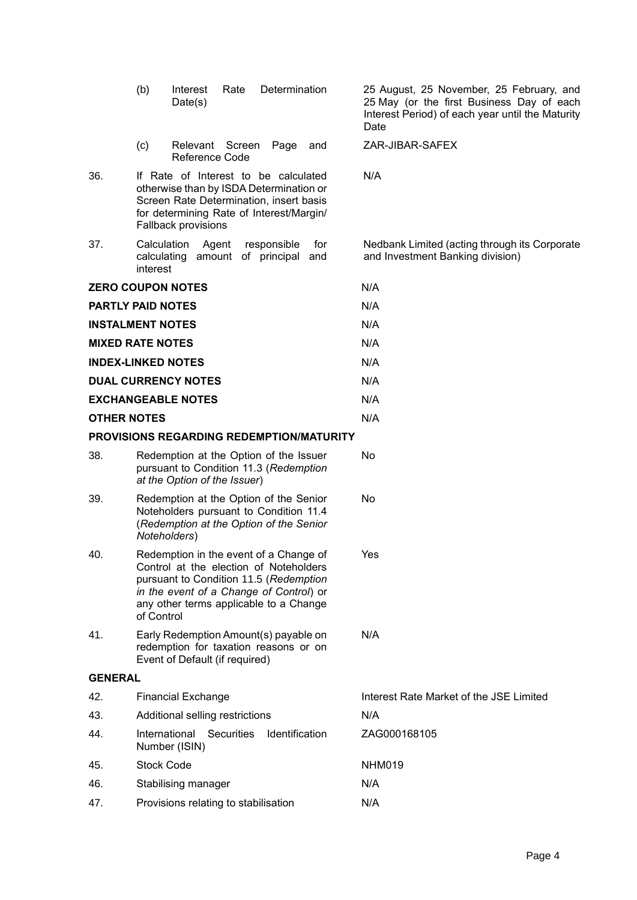|                    | (c)<br>Relevant Screen<br>Page<br>and<br>Reference Code                                                                                                                                                                       | ZAR-JIBAR-SAFEX                                                                   |
|--------------------|-------------------------------------------------------------------------------------------------------------------------------------------------------------------------------------------------------------------------------|-----------------------------------------------------------------------------------|
| 36.                | If Rate of Interest to be calculated<br>otherwise than by ISDA Determination or<br>Screen Rate Determination, insert basis<br>for determining Rate of Interest/Margin/<br><b>Fallback provisions</b>                          | N/A                                                                               |
| 37.                | Calculation<br>Agent<br>responsible<br>for<br>calculating amount of principal and<br>interest                                                                                                                                 | Nedbank Limited (acting through its Corporate<br>and Investment Banking division) |
|                    | <b>ZERO COUPON NOTES</b>                                                                                                                                                                                                      | N/A                                                                               |
|                    | <b>PARTLY PAID NOTES</b>                                                                                                                                                                                                      | N/A                                                                               |
|                    | <b>INSTALMENT NOTES</b>                                                                                                                                                                                                       | N/A                                                                               |
|                    | <b>MIXED RATE NOTES</b>                                                                                                                                                                                                       | N/A                                                                               |
|                    | <b>INDEX-LINKED NOTES</b>                                                                                                                                                                                                     | N/A                                                                               |
|                    | <b>DUAL CURRENCY NOTES</b>                                                                                                                                                                                                    | N/A                                                                               |
|                    | <b>EXCHANGEABLE NOTES</b>                                                                                                                                                                                                     | N/A                                                                               |
| <b>OTHER NOTES</b> |                                                                                                                                                                                                                               | N/A                                                                               |
|                    | <b>PROVISIONS REGARDING REDEMPTION/MATURITY</b>                                                                                                                                                                               |                                                                                   |
| 38.                | Redemption at the Option of the Issuer<br>pursuant to Condition 11.3 (Redemption<br>at the Option of the Issuer)                                                                                                              | No                                                                                |
| 39.                | Redemption at the Option of the Senior<br>Noteholders pursuant to Condition 11.4<br>(Redemption at the Option of the Senior<br>Noteholders)                                                                                   | No                                                                                |
| 40.                | Redemption in the event of a Change of<br>Control at the election of Noteholders<br>pursuant to Condition 11.5 (Redemption<br>in the event of a Change of Control) or<br>any other terms applicable to a Change<br>of Control | Yes                                                                               |
| 41.                | Early Redemption Amount(s) payable on<br>redemption for taxation reasons or on<br>Event of Default (if required)                                                                                                              | N/A                                                                               |
| <b>GENERAL</b>     |                                                                                                                                                                                                                               |                                                                                   |
| 42.                | <b>Financial Exchange</b>                                                                                                                                                                                                     | Interest Rate Market of the JSE Limited                                           |
| 43.                | Additional selling restrictions                                                                                                                                                                                               | N/A                                                                               |
| 44.                | International Securities<br>Identification<br>Number (ISIN)                                                                                                                                                                   | ZAG000168105                                                                      |
| 45.                | <b>Stock Code</b>                                                                                                                                                                                                             | NHM019                                                                            |
| 46.                | Stabilising manager                                                                                                                                                                                                           | N/A                                                                               |
| 47.                | Provisions relating to stabilisation                                                                                                                                                                                          | N/A                                                                               |

(b) Interest Rate Determination

Date(s)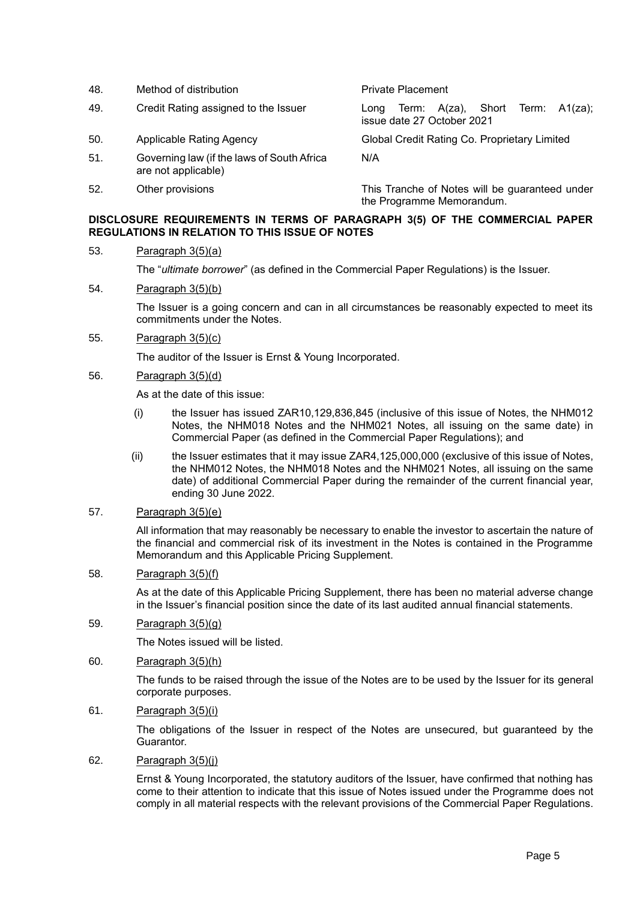48. Method of distribution **Accord Private Placement** 49. Credit Rating assigned to the Issuer Long Term: A(za), Short Term: A1(za); issue date 27 October 2021 50. Applicable Rating Agency Global Credit Rating Co. Proprietary Limited 51. Governing law (if the laws of South Africa are not applicable) N/A 52. Other provisions This Tranche of Notes will be guaranteed under the Programme Memorandum.

## **DISCLOSURE REQUIREMENTS IN TERMS OF PARAGRAPH 3(5) OF THE COMMERCIAL PAPER REGULATIONS IN RELATION TO THIS ISSUE OF NOTES**

## 53. Paragraph 3(5)(a)

The "*ultimate borrower*" (as defined in the Commercial Paper Regulations) is the Issuer.

### 54. Paragraph 3(5)(b)

The Issuer is a going concern and can in all circumstances be reasonably expected to meet its commitments under the Notes.

### 55. Paragraph 3(5)(c)

The auditor of the Issuer is Ernst & Young Incorporated.

## 56. Paragraph 3(5)(d)

As at the date of this issue:

- (i) the Issuer has issued ZAR10,129,836,845 (inclusive of this issue of Notes, the NHM012 Notes, the NHM018 Notes and the NHM021 Notes, all issuing on the same date) in Commercial Paper (as defined in the Commercial Paper Regulations); and
- (ii) the Issuer estimates that it may issue ZAR4,125,000,000 (exclusive of this issue of Notes, the NHM012 Notes, the NHM018 Notes and the NHM021 Notes, all issuing on the same date) of additional Commercial Paper during the remainder of the current financial year, ending 30 June 2022.

## 57. Paragraph 3(5)(e)

All information that may reasonably be necessary to enable the investor to ascertain the nature of the financial and commercial risk of its investment in the Notes is contained in the Programme Memorandum and this Applicable Pricing Supplement.

### 58. Paragraph 3(5)(f)

As at the date of this Applicable Pricing Supplement, there has been no material adverse change in the Issuer's financial position since the date of its last audited annual financial statements.

## 59. Paragraph 3(5)(g)

The Notes issued will be listed.

## 60. Paragraph 3(5)(h)

The funds to be raised through the issue of the Notes are to be used by the Issuer for its general corporate purposes.

## 61. Paragraph 3(5)(i)

The obligations of the Issuer in respect of the Notes are unsecured, but guaranteed by the Guarantor.

## 62. Paragraph 3(5)(j)

Ernst & Young Incorporated, the statutory auditors of the Issuer, have confirmed that nothing has come to their attention to indicate that this issue of Notes issued under the Programme does not comply in all material respects with the relevant provisions of the Commercial Paper Regulations.